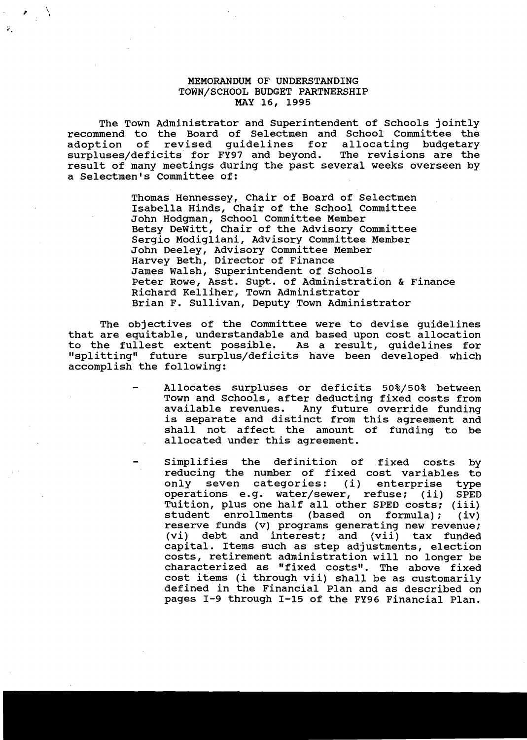## MEMORANDUM OF UNDERSTANDING TOWN/SCHOOL BUDGET PARTNERSHIP MAY 16, 1995

i \.

> The Town Administrator and Superintendent of Schools jointly recommend to the Board of Selectmen and School Committee the<br>adoption of revised guidelines for allocating budgetary adoption of revised guidelines for allocating budgetary<br>surpluses/deficits for FY97 and beyond. The revisions are the surpluses/deficits for FY97 and beyond. result of many meetings during the past several weeks overseen by a Selectmen's Committee of:

> > Thomas Hennessey, Chair of Board of Selectmen Isabella Hinds, Chair of the School Committee John Hodgman, School Committee Member Betsy DeWitt, Chair of the Advisory Committee Sergio Modigliani, Advisory Committee Member John Deeley, Advisory Committee Member Harvey Beth, Director of Finance James Walsh, Superintendent of Schools Peter Rowe, Asst. Supt. of Administration & Finance Richard Kelliher, Town Administrator Brian F. Sullivan, Deputy Town Administrator

The objectives of the Committee were to devise guidelines that are equitable, understandable and based upon cost allocation to the fullest extent possible. As a result, guidelines for "splitting" future surplus/deficits have been developed which accomplish the following:

- Allocates surpluses or deficits 50%/50% between Town and Schools, after deducting fixed costs from available revenues. Any future override funding avariable revenues. They ruddle overline runding<br>is separate and distinct from this agreement and shall not affect the amount of funding to be allocated under this agreement.
- Simplifies the definition of fixed costs by reducing the number of fixed cost variables to<br>only seven categories: (i) enterprise type only seven categories: (i) enterprise<br>operations e.g. water/sewer, refuse; (ii) operations e.g. water/sewer, refuse; (ii) SPED Tuition, plus one half all other SPED costs; (iii)<br>student enrollments (based on formula); (iv) enrollments reserve funds (v) programs generating new revenue; (vi) debt and interest; and (vii) tax funded capital. Items such as step adjustments, election costs, retirement administration will no longer be characterized as "fixed costs". The above fixed cost items (i through vii) shall be as customarily defined in the Financial Plan and as described on pages I-9 through I-15 of the FY96 Financial Plan.